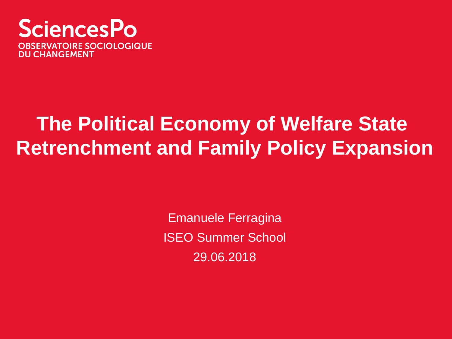

# **The Political Economy of Welfare State Retrenchment and Family Policy Expansion**

Emanuele Ferragina ISEO Summer School 29.06.2018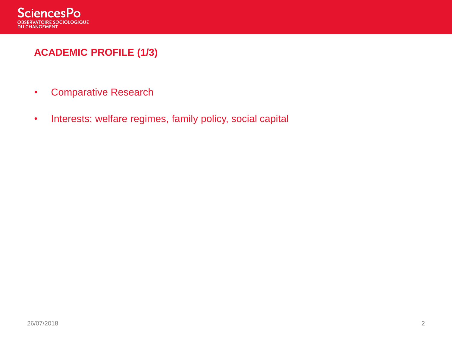

# **ACADEMIC PROFILE (1/3)**

- Comparative Research
- Interests: welfare regimes, family policy, social capital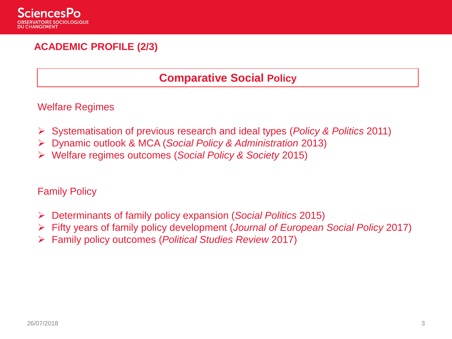

### **ACADEMIC PROFILE (2/3)**

#### **Comparative Social Policy**

Welfare Regimes

- ➢ Systematisation of previous research and ideal types (*Policy & Politics* 2011)
- ➢ Dynamic outlook & MCA (*Social Policy & Administration* 2013)
- ➢ Welfare regimes outcomes (*Social Policy & Society* 2015)

Family Policy

- ➢ Determinants of family policy expansion (*Social Politics* 2015)
- ➢ Fifty years of family policy development (*Journal of European Social Policy* 2017)
- ➢ Family policy outcomes (*Political Studies Review* 2017)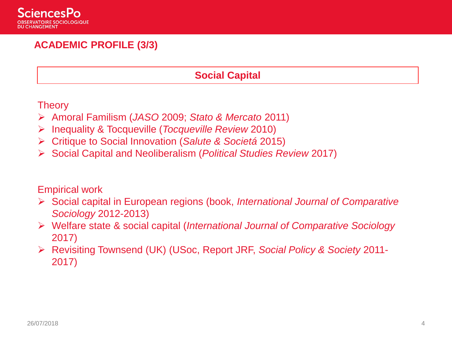

#### **ACADEMIC PROFILE (3/3)**

#### **Social Capital**

**Theory** 

- ➢ Amoral Familism (*JASO* 2009; *Stato & Mercato* 2011)
- ➢ Inequality & Tocqueville (*Tocqueville Review* 2010)
- ➢ Critique to Social Innovation (*Salute & Societá* 2015)
- ➢ Social Capital and Neoliberalism (*Political Studies Review* 2017)

#### Empirical work

- ➢ Social capital in European regions (book, *International Journal of Comparative Sociology* 2012-2013)
- ➢ Welfare state & social capital (*International Journal of Comparative Sociology*  2017)
- ➢ Revisiting Townsend (UK) (USoc, Report JRF, *Social Policy & Society* 2011- 2017)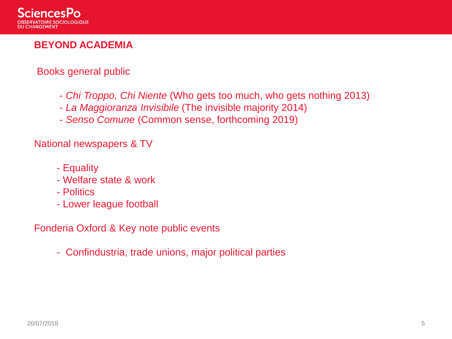

#### **BEYOND ACADEMIA**

#### Books general public

- *Chi Troppo, Chi Niente* (Who gets too much, who gets nothing 2013)
- *La Maggioranza Invisibile* (The invisible majority 2014)
- *Senso Comune* (Common sense, forthcoming 2019)

#### National newspapers & TV

- Equality
- Welfare state & work
- Politics
- Lower league football

Fonderia Oxford & Key note public events

- Confindustria, trade unions, major political parties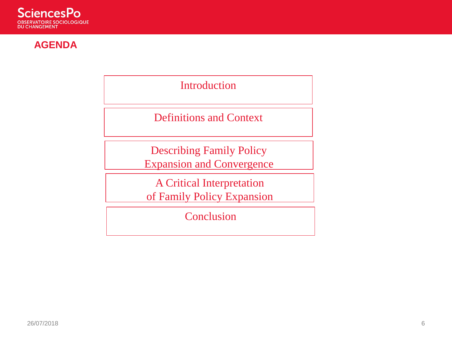

#### **AGENDA**

Introduction

Definitions and Context

Describing Family Policy Expansion and Convergence

A Critical Interpretation of Family Policy Expansion

**Conclusion**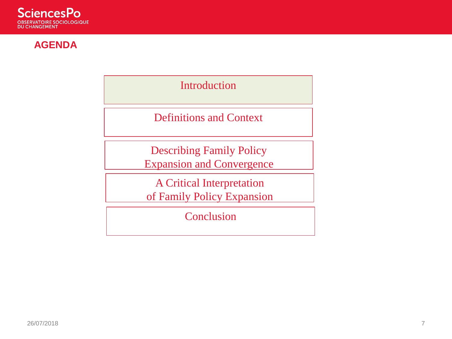

#### **AGENDA**

Introduction

Definitions and Context

Describing Family Policy Expansion and Convergence

A Critical Interpretation of Family Policy Expansion

**Conclusion**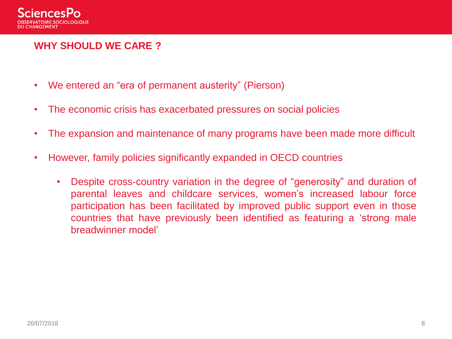

#### **WHY SHOULD WE CARE ?**

- We entered an "era of permanent austerity" (Pierson)
- The economic crisis has exacerbated pressures on social policies
- The expansion and maintenance of many programs have been made more difficult
- However, family policies significantly expanded in OECD countries
	- Despite cross-country variation in the degree of "generosity" and duration of parental leaves and childcare services, women's increased labour force participation has been facilitated by improved public support even in those countries that have previously been identified as featuring a 'strong male breadwinner model'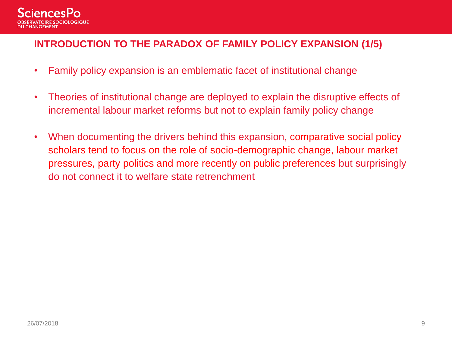

#### **INTRODUCTION TO THE PARADOX OF FAMILY POLICY EXPANSION (1/5)**

- Family policy expansion is an emblematic facet of institutional change
- Theories of institutional change are deployed to explain the disruptive effects of incremental labour market reforms but not to explain family policy change
- When documenting the drivers behind this expansion, comparative social policy scholars tend to focus on the role of socio-demographic change, labour market pressures, party politics and more recently on public preferences but surprisingly do not connect it to welfare state retrenchment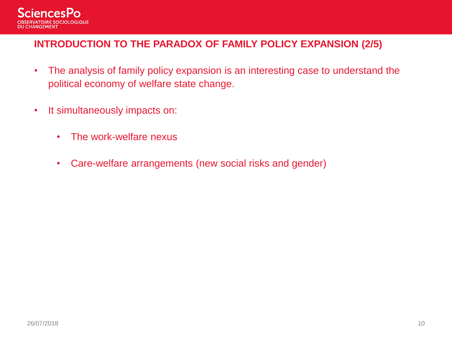

#### **INTRODUCTION TO THE PARADOX OF FAMILY POLICY EXPANSION (2/5)**

- The analysis of family policy expansion is an interesting case to understand the political economy of welfare state change.
- It simultaneously impacts on:
	- The work-welfare nexus
	- Care-welfare arrangements (new social risks and gender)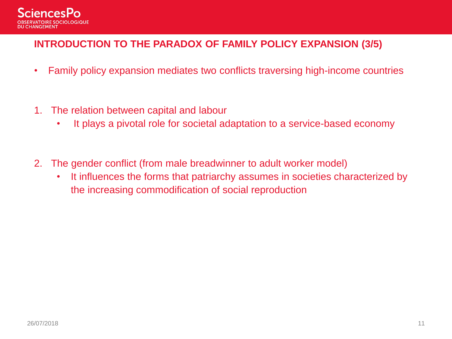

#### **INTRODUCTION TO THE PARADOX OF FAMILY POLICY EXPANSION (3/5)**

- Family policy expansion mediates two conflicts traversing high-income countries
- 1. The relation between capital and labour
	- It plays a pivotal role for societal adaptation to a service-based economy
- 2. The gender conflict (from male breadwinner to adult worker model)
	- It influences the forms that patriarchy assumes in societies characterized by the increasing commodification of social reproduction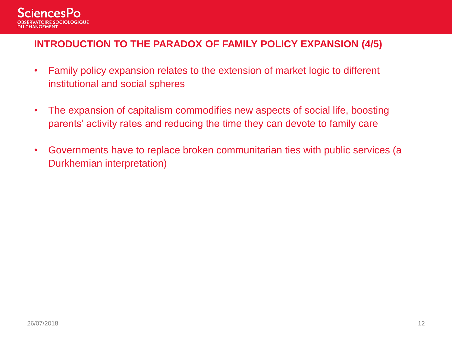

#### **INTRODUCTION TO THE PARADOX OF FAMILY POLICY EXPANSION (4/5)**

- Family policy expansion relates to the extension of market logic to different institutional and social spheres
- The expansion of capitalism commodifies new aspects of social life, boosting parents' activity rates and reducing the time they can devote to family care
- Governments have to replace broken communitarian ties with public services (a Durkhemian interpretation)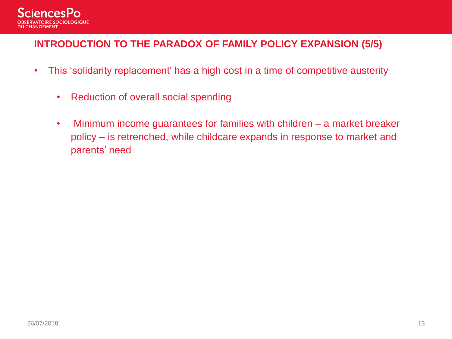

#### **INTRODUCTION TO THE PARADOX OF FAMILY POLICY EXPANSION (5/5)**

- This 'solidarity replacement' has a high cost in a time of competitive austerity
	- Reduction of overall social spending
	- Minimum income guarantees for families with children a market breaker policy – is retrenched, while childcare expands in response to market and parents' need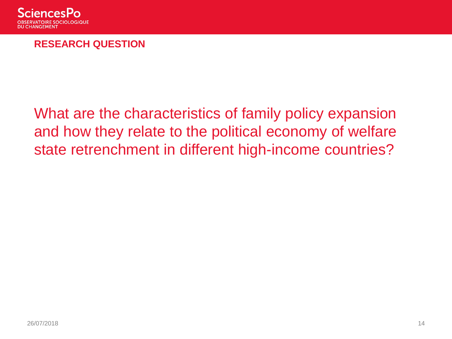

#### **RESEARCH QUESTION**

# What are the characteristics of family policy expansion and how they relate to the political economy of welfare state retrenchment in different high-income countries?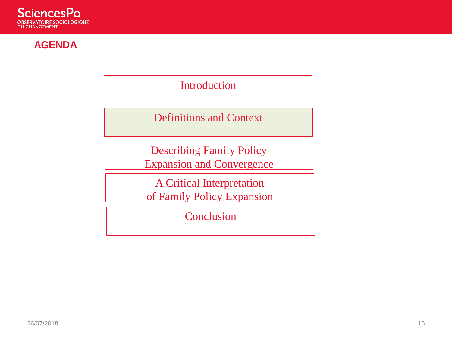

#### **AGENDA**

Introduction

Definitions and Context

Describing Family Policy Expansion and Convergence

A Critical Interpretation of Family Policy Expansion

**Conclusion**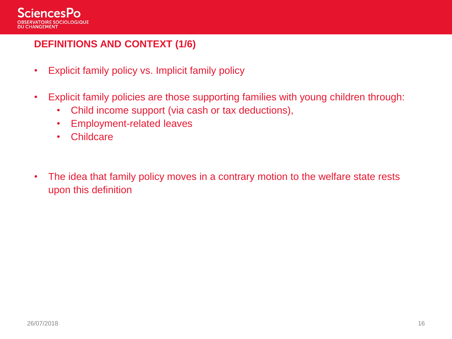

#### **DEFINITIONS AND CONTEXT (1/6)**

- Explicit family policy vs. Implicit family policy
- Explicit family policies are those supporting families with young children through:
	- Child income support (via cash or tax deductions),
	- Employment-related leaves
	- Childcare
- The idea that family policy moves in a contrary motion to the welfare state rests upon this definition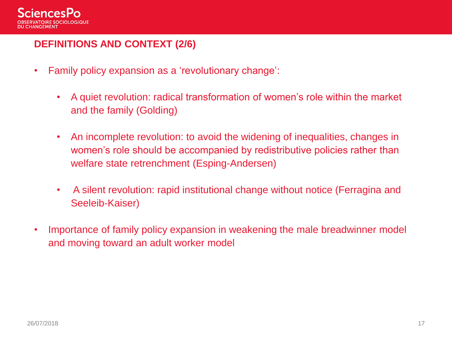

#### **DEFINITIONS AND CONTEXT (2/6)**

- Family policy expansion as a 'revolutionary change':
	- A quiet revolution: radical transformation of women's role within the market and the family (Golding)
	- An incomplete revolution: to avoid the widening of inequalities, changes in women's role should be accompanied by redistributive policies rather than welfare state retrenchment (Esping-Andersen)
	- A silent revolution: rapid institutional change without notice (Ferragina and Seeleib-Kaiser)
- Importance of family policy expansion in weakening the male breadwinner model and moving toward an adult worker model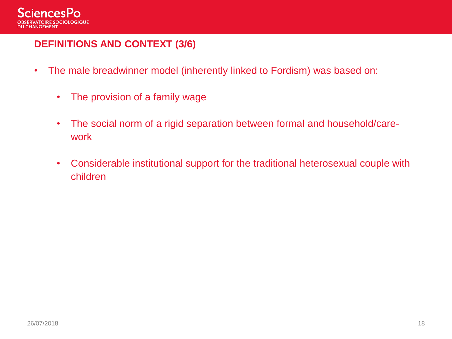

#### **DEFINITIONS AND CONTEXT (3/6)**

- The male breadwinner model (inherently linked to Fordism) was based on:
	- The provision of a family wage
	- The social norm of a rigid separation between formal and household/carework
	- Considerable institutional support for the traditional heterosexual couple with children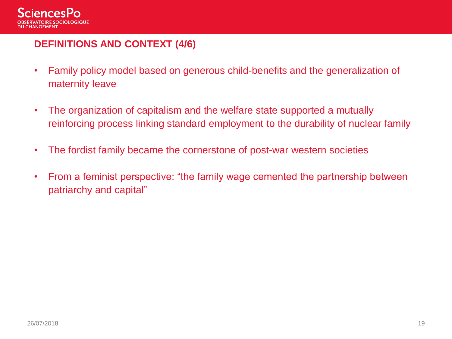

#### **DEFINITIONS AND CONTEXT (4/6)**

- Family policy model based on generous child-benefits and the generalization of maternity leave
- The organization of capitalism and the welfare state supported a mutually reinforcing process linking standard employment to the durability of nuclear family
- The fordist family became the cornerstone of post-war western societies
- From a feminist perspective: "the family wage cemented the partnership between patriarchy and capital"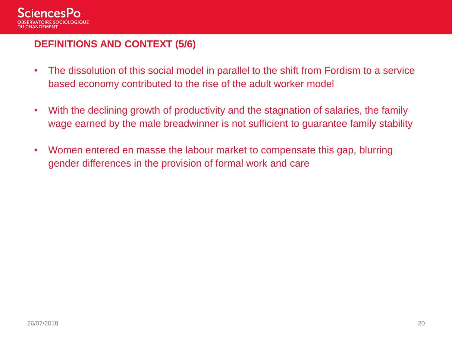

#### **DEFINITIONS AND CONTEXT (5/6)**

- The dissolution of this social model in parallel to the shift from Fordism to a service based economy contributed to the rise of the adult worker model
- With the declining growth of productivity and the stagnation of salaries, the family wage earned by the male breadwinner is not sufficient to guarantee family stability
- Women entered en masse the labour market to compensate this gap, blurring gender differences in the provision of formal work and care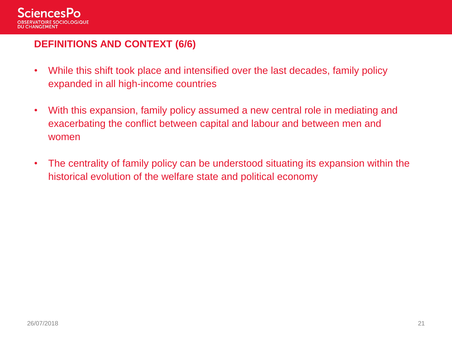

#### **DEFINITIONS AND CONTEXT (6/6)**

- While this shift took place and intensified over the last decades, family policy expanded in all high-income countries
- With this expansion, family policy assumed a new central role in mediating and exacerbating the conflict between capital and labour and between men and women
- The centrality of family policy can be understood situating its expansion within the historical evolution of the welfare state and political economy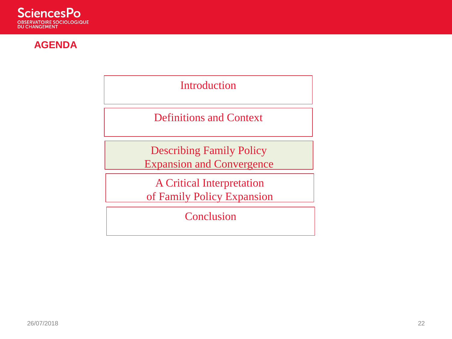

#### **AGENDA**

Introduction

Definitions and Context

Describing Family Policy Expansion and Convergence

A Critical Interpretation of Family Policy Expansion

**Conclusion**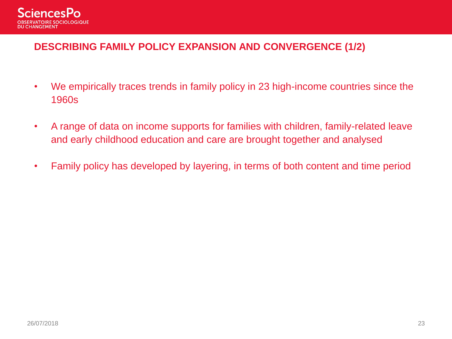

#### **DESCRIBING FAMILY POLICY EXPANSION AND CONVERGENCE (1/2)**

- We empirically traces trends in family policy in 23 high-income countries since the 1960s
- A range of data on income supports for families with children, family-related leave and early childhood education and care are brought together and analysed
- Family policy has developed by layering, in terms of both content and time period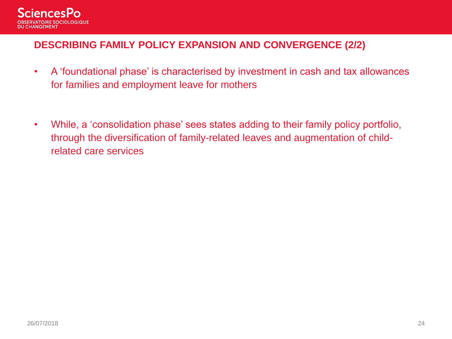

#### **DESCRIBING FAMILY POLICY EXPANSION AND CONVERGENCE (2/2)**

- A 'foundational phase' is characterised by investment in cash and tax allowances for families and employment leave for mothers
- While, a 'consolidation phase' sees states adding to their family policy portfolio, through the diversification of family-related leaves and augmentation of childrelated care services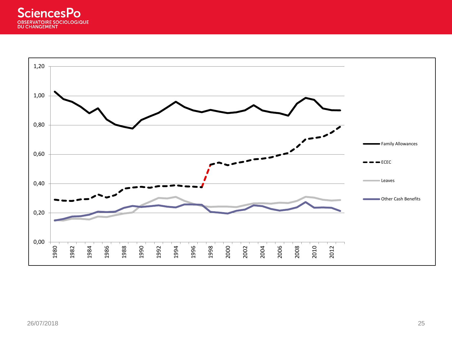

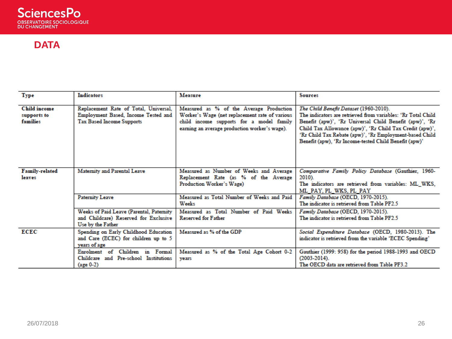

#### **DATA**

| Type                                           | <b>Indicators</b>                                                                                                | Measure                                                                                                                                                                                | <b>Sources</b>                                                                                                                                                                                                                                                                                                                                    |  |  |  |  |
|------------------------------------------------|------------------------------------------------------------------------------------------------------------------|----------------------------------------------------------------------------------------------------------------------------------------------------------------------------------------|---------------------------------------------------------------------------------------------------------------------------------------------------------------------------------------------------------------------------------------------------------------------------------------------------------------------------------------------------|--|--|--|--|
| <b>Child income</b><br>supports to<br>families | Replacement Rate of Total, Universal,<br>Employment Based, Income Tested and<br><b>Tax Based Income Supports</b> | Measured as % of the Average Production<br>Worker's Wage (net replacement rate of various<br>child income supports for a model family<br>earning an average production worker's wage). | The Child Benefit Dataset (1960-2010).<br>The indicators are retrieved from variables: 'Rr Total Child<br>Benefit (apw)', 'Rr Universal Child Benefit (apw)', 'Rr<br>Child Tax Allowance (apw)', 'Rr Child Tax Credit (apw)',<br>'Rr Child Tax Rebate (apw)', 'Rr Employment-based Child<br>Benefit (apw), 'Rr Income-tested Child Benefit (apw)' |  |  |  |  |
| <b>Family-related</b><br>leaves                | <b>Maternity and Parental Leave</b>                                                                              | Measured as Number of Weeks and Average<br>Replacement Rate (as % of the Average<br>Production Worker's Wage)                                                                          | Comparative Family Policy Database (Gauthier, 1960-<br>2010).<br>The indicators are retrieved from variables: ML WKS,<br>ML PAY. PL WKS. PL PAY                                                                                                                                                                                                   |  |  |  |  |
|                                                | <b>Paternity Leave</b>                                                                                           | Measured as Total Number of Weeks and Paid<br>Weeks                                                                                                                                    | Family Database (OECD, 1970-2015).<br>The indicator is retrieved from Table PF2.5                                                                                                                                                                                                                                                                 |  |  |  |  |
|                                                | Weeks of Paid Leave (Parental, Paternity<br>and Childcare) Reserved for Exclusive<br>Use by the Father           | Measured as Total Number of Paid Weeks<br><b>Reserved for Father</b>                                                                                                                   | Family Database (OECD, 1970-2015).<br>The indicator is retrieved from Table PF2.5                                                                                                                                                                                                                                                                 |  |  |  |  |
| ECEC                                           | Spending on Early Childhood Education<br>and Care (ECEC) for children up to 5<br>years of age                    | Measured as % of the GDP                                                                                                                                                               | Social Expenditure Database (OECD, 1980-2013). The<br>indicator is retrieved from the variable 'ECEC Spending'                                                                                                                                                                                                                                    |  |  |  |  |
|                                                | Children in Formal<br>Enrolment of<br>Childeare and Pre-school Institutions<br>$(age 0-2)$                       | Measured as % of the Total Age Cohort 0-2<br>vears                                                                                                                                     | Gauthier (1999: 958) for the period 1988-1993 and OECD<br>$(2003 - 2014)$ .<br>The OECD data are retrieved from Table PF3.2                                                                                                                                                                                                                       |  |  |  |  |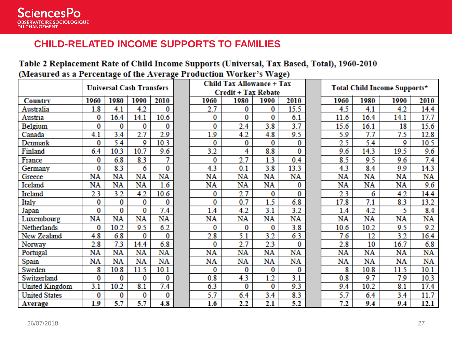#### **CHILD-RELATED INCOME SUPPORTS TO FAMILIES**

#### Table 2 Replacement Rate of Child Income Supports (Universal, Tax Based, Total), 1960-2010 (Measured as a Percentage of the Average Production Worker's Wage)

|                       |      | <b>Universal Cash Transfers</b> |      |      |         | <b>Child Tax Allowance + Tax</b><br><b>Credit + Tax Rebate</b> |      |      | Total Child Income Supports* |      |      |      |
|-----------------------|------|---------------------------------|------|------|---------|----------------------------------------------------------------|------|------|------------------------------|------|------|------|
| Country               | 1960 | 1980                            | 1990 | 2010 | 1960    | 1980                                                           | 1990 | 2010 | 1960                         | 1980 | 1990 | 2010 |
| Australia             | 1.8  | 4.1                             | 4.2  | 0    | 2.7     | 0                                                              | 0    | 15.5 | 4.5                          | 4.1  | 4.2  | 14.4 |
| Austria               | 0    | 16.4                            | 14.1 | 10.6 | 0       | 0                                                              | 0    | 6.1  | 11.6                         | 16.4 | 14.1 | 17.7 |
| Belgium               | 0    | 0                               | 0    | 0    | 0       | 2.4                                                            | 3.8  | 3.7  | 15.6                         | 16.1 | 18   | 15.6 |
| Canada                | 4.1  | 3.4                             | 2.7  | 2.9  | 1.9     | 4.2                                                            | 4.8  | 9.5  | 5.9                          | 7.7  | 7.5  | 12.8 |
| Denmark               | 0    | 5.4                             | 9    | 10.3 | 0       | 0                                                              | 0    | 0    | 2.5                          | 5.4  | 9    | 10.5 |
| Finland               | 6.4  | 10.3                            | 10.7 | 9.6  | 3.2     | 4                                                              | 8.8  | 0    | 9.6                          | 14.3 | 19.5 | 9.6  |
| France                | 0    | 6.8                             | 8.3  | 7    | 0       | 2.7                                                            | 1.3  | 0.4  | 8.5                          | 9.5  | 9.6  | 7.4  |
| Germany               | 0    | 8.3                             | 6    | 0    | 4.3     | 0.1                                                            | 3.8  | 13.3 | 4.3                          | 8.4  | 9.9  | 14.3 |
| Greece                | NA   | NA                              | NA   | NA   | NA      | NA                                                             | NA   | NA   | NA                           | NA   | NA   | NA   |
| Iceland               | NA   | NA                              | NA   | 1.6  | NA      | NA                                                             | NA   | 0    | NA                           | NA   | NA   | 9.6  |
| Ireland               | 2.3  | 3.2                             | 4.2  | 10.6 | 0       | 2.7                                                            | 0    | 0    | 2.3                          | 6    | 4.2  | 14.4 |
| Italy                 | 0    | 0                               | 0    | 0    | 0       | 0.7                                                            | 1.5  | 6.8  | 17.8                         | 7.1  | 8.3  | 13.2 |
| Japan                 | 0    | 0                               | 0    | 7.4  | 1.4     | 4.2                                                            | 3.1  | 3.2  | 1.4                          | 4.2  | 5    | 8.4  |
| Luxembourg            | NA   | NA                              | NA   | NA   | NA      | NA                                                             | NA   | NA   | NA                           | NA   | NA   | NA   |
| Netherlands           | 0    | 10.2                            | 9.5  | 6.2  | 0       | 0                                                              | 0    | 3.8  | 10.6                         | 10.2 | 9.5  | 9.2  |
| New Zealand           | 4.8  | 6.8                             | 0    | 0    | 2.8     | 5.1                                                            | 3.2  | 6.3  | 7.6                          | 12   | 3.2  | 16.4 |
| Norway                | 2.8  | 7.3                             | 14.4 | 6.8  | 0       | 2.7                                                            | 2.3  | 0    | 2.8                          | 10   | 16.7 | 6.8  |
| Portugal              | NA   | NA                              | NA   | NA   | NA      | NA                                                             | $NA$ | NA   | NA                           | NA   | NA   | NA   |
| Spain                 | NA   | NA                              | NA   | NA   | NA      | NA                                                             | NA   | NA   | NA                           | NA   | NA   | NA   |
| Sweden                | 8    | 10.8                            | 11.5 | 10.1 | 0       | 0                                                              | 0    | 0    | 8                            | 10.8 | 11.5 | 10.1 |
| Switzerland           | 0    | 0                               | 0    | 0    | 0.8     | 4.3                                                            | 1.2  | 3.1  | 0.8                          | 9.7  | 7.9  | 10.3 |
| <b>United Kingdom</b> | 3.1  | 10.2                            | 8.1  | 7.4  | 6.3     | 0                                                              | 0    | 9.3  | 9.4                          | 10.2 | 8.1  | 17.4 |
| <b>United States</b>  | 0    | 0                               | 0    | 0    | 5.7     | 6.4                                                            | 3.4  | 8.3  | 5.7                          | 6.4  | 3.4  | 11.7 |
| <b>Average</b>        | 1.9  | 5.7                             | 5.7  | 4.8  | $1.6\,$ | 2.2                                                            | 2.1  | 5.2  | 7.2                          | 9.4  | 9.4  | 12.1 |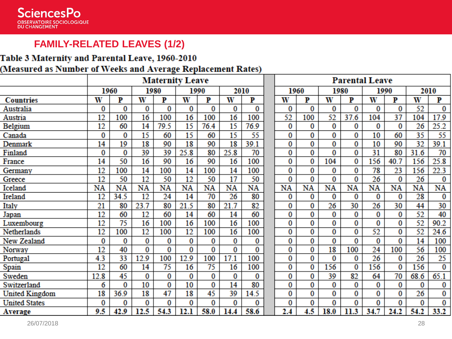#### **FAMILY-RELATED LEAVES (1/2)**

# Table 3 Maternity and Parental Leave, 1960-2010

#### (Measured as Number of Weeks and Average Replacement Rates)

|                       | <b>Maternity Leave</b> |      |      |                 |      |                 |      | <b>Parental Leave</b> |      |     |      |      |      |                |      |                |
|-----------------------|------------------------|------|------|-----------------|------|-----------------|------|-----------------------|------|-----|------|------|------|----------------|------|----------------|
|                       |                        | 1960 | 1980 |                 | 1990 |                 | 2010 |                       | 1960 |     | 1980 |      | 1990 |                | 2010 |                |
| <b>Countries</b>      | W                      | P    | W    | P               | W    | P               | W    | P                     | W    | P   | W    | P    | W    | P              | W    | P              |
| Australia             | 0                      | 0    | 0    | 0               | 0    | 0               | 0    | 0                     | 0    | 0   | 0    | 0    | 0    | 0              | 52   | 0              |
| Austria               | 12                     | 100  | 16   | 100             | 16   | 100             | 16   | 100                   | 52   | 100 | 52   | 37.6 | 104  | 37             | 104  | 17.9           |
| Belgium               | 12                     | 60   | 14   | 79.5            | 15   | 76.4            | 15   | 76.9                  | 0    | 0   | 0    | 0    | 0    | 0              | 26   | 25.2           |
| Canada                | 0                      | 0    | 15   | 60              | 15   | 60              | 15   | 55                    | 0    | 0   | 0    | 0    | 10   | 60             | 35   | 55             |
| Denmark               | 14                     | 19   | 18   | 90              | 18   | 90              | 18   | 39.1                  | 0    | 0   | 0    | 0    | 10   | 90             | 32   | 39.1           |
| Finland               | 0                      | 0    | 39   | 39              | 25.8 | 80              | 25.8 | 70                    | 0    | 0   | 0    | 0    | 31   | 80             | 31.6 | 70             |
| France                | 14                     | 50   | 16   | 90              | 16   | 90              | 16   | 100                   | 0    | 0   | 104  | 0    | 156  | 40.7           | 156  | 25.8           |
| Germany               | 12                     | 100  | 14   | 100             | 14   | 100             | 14   | 100                   | 0    | 0   | 0    | 0    | 78   | 23             | 156  | 22.3           |
| Greece                | 12                     | 50   | 12   | 50              | 12   | 50              | 17   | 50                    | 0    | 0   | 0    | 0    | 26   | 0              | 26   | 0              |
| Iceland               | NA                     | NA   | NA   | NA              | NA   | NA              | NA   | NA                    | NA   | NA  | NA   | NA   | NA   | NA             | NA   | NA             |
| Ireland               | 12                     | 34.5 | 12   | 24              | 14   | 70              | 26   | 80                    | 0    | 0   | 0    | 0    | 0    | 0              | 28   | 0              |
| Italy                 | 21                     | 80   | 23.7 | 80              | 21.5 | 80              | 21.7 | 82                    | 0    | 0   | 26   | 30   | 26   | 30             | 44   | 30             |
| Japan                 | 12                     | 60   | 12   | 60              | 14   | 60              | 14   | 60                    | 0    | 0   | 0    | 0    | 0    | 0              | 52   | 40             |
| Luxembourg            | 12                     | 75   | 16   | 100             | 16   | 100             | 16   | 100                   | 0    | 0   | 0    | 0    | 0    | 0              | 52   | 90.2           |
| Netherlands           | 12                     | 100  | 12   | 100             | 12   | 100             | 16   | 100                   | 0    | 0   | 0    | 0    | 52   | 0              | 52   | 24.6           |
| New Zealand           | 0                      | 0    | 0    | 0               | 0    | 0               | 0    | 0                     | 0    | 0   | 0    | 0    | 0    | 0              | 14   | 100            |
| Norway                | 12                     | 40   | 0    | 0               | 0    | 0               | 0    | 0                     | 0    | 0   | 18   | 100  | 24   | 100            | 56   | 100            |
| Portugal              | 4.3                    | 33   | 12.9 | 100             | 12.9 | 100             | 17.1 | 100                   | 0    | 0   | 0    | 0    | 26   | 0              | 26   | 25             |
| Spain                 | 12                     | 60   | 14   | $\overline{75}$ | 16   | $\overline{75}$ | 16   | 100                   | 0    | 0   | 156  | 0    | 156  | $\overline{0}$ | 156  | $\overline{0}$ |
| Sweden                | 12.8                   | 45   | 0    | 0               | 0    | 0               | 0    | 0                     | 0    | 0   | 39   | 82   | 64   | 70             | 68.6 | 65.1           |
| Switzerland           | 6                      | 0    | 10   | 0               | 10   | 0               | 14   | 80                    | 0    | 0   | 0    | 0    | 0    | 0              | 0    | 0              |
| <b>United Kingdom</b> | 18                     | 36.9 | 18   | 47              | 18   | 45              | 39   | 14.5                  | 0    | 0   | 0    | 0    | 0    | 0              | 26   | 0              |
| <b>United States</b>  | 0                      | 0    | 0    | 0               | 0    | 0               | 0    | 0                     | 0    | 0   | 0    | 0    | 0    | 0              | 0    | 0              |
| <b>Average</b>        | 9.5                    | 42.9 | 12.5 | 54.3            | 12.1 | 58.0            | 14.4 | 58.6                  | 2.4  | 4.5 | 18.0 | 11.3 | 34.7 | 24.2           | 54.2 | 33.2           |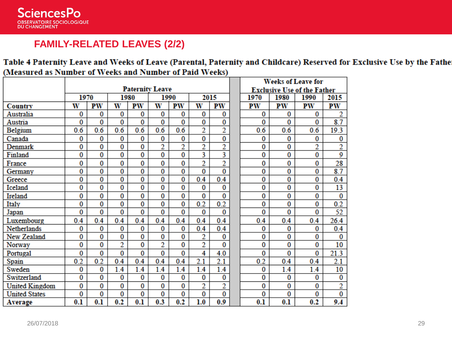

### **FAMILY-RELATED LEAVES (2/2)**

Table 4 Paternity Leave and Weeks of Leave (Parental, Paternity and Childcare) Reserved for Exclusive Use by the Fathe (Measured as Number of Weeks and Number of Paid Weeks)

|                       |                        |          |          |                |     |                | <b>Weeks of Leave for</b> |                         |  |                                    |      |      |      |  |  |
|-----------------------|------------------------|----------|----------|----------------|-----|----------------|---------------------------|-------------------------|--|------------------------------------|------|------|------|--|--|
|                       | <b>Paternity Leave</b> |          |          |                |     |                |                           |                         |  | <b>Exclusive Use of the Father</b> |      |      |      |  |  |
|                       | 1970                   |          | 1980     |                |     | 1990           | 2015                      |                         |  | 1970                               | 1980 | 1990 | 2015 |  |  |
| Country               | W                      | PW       | W        | PW             | W   | PW             | W                         | PW                      |  | PW                                 | PW   | PW   | PW   |  |  |
| Australia             | 0                      | 0        | 0        | 0              | 0   | 0              | 0                         | 0                       |  | 0                                  | 0    | 0    | 2    |  |  |
| Austria               | 0                      | 0        | $\bf{0}$ | 0              | 0   | 0              | 0                         | 0                       |  | 0                                  | 0    | 0    | 8.7  |  |  |
| Belgium               | 0.6                    | 0.6      | 0.6      | 0.6            | 0.6 | 0.6            | $\overline{2}$            | $\overline{2}$          |  | 0.6                                | 0.6  | 0.6  | 19.3 |  |  |
| Canada                | 0                      | 0        | 0        | 0              | 0   | 0              | 0                         | 0                       |  | 0                                  | 0    | 0    | 0    |  |  |
| Denmark               | 0                      | 0        | 0        | 0              | 2   | $\overline{2}$ | 2                         | $\overline{2}$          |  | 0                                  | 0    | 2    | 2    |  |  |
| Finland               | 0                      | $\bf{0}$ | $\bf{0}$ | 0              | 0   | 0              | 3                         | 3                       |  | 0                                  | 0    | 0    | 9    |  |  |
| France                | 0                      | $\bf{0}$ | $\bf{0}$ | $\bf{0}$       | 0   | 0              | $\overline{2}$            | $\overline{c}$          |  | 0                                  | 0    | 0    | 28   |  |  |
| Germany               | 0                      | 0        | $\bf{0}$ | $\overline{0}$ | 0   | 0              | 0                         | $\overline{\mathbf{0}}$ |  | 0                                  | 0    | 0    | 8.7  |  |  |
| Greece                | 0                      | $\bf{0}$ | $\bf{0}$ | 0              | 0   | 0              | 0.4                       | 0.4                     |  | 0                                  | 0    | 0    | 0.4  |  |  |
| Iceland               | 0                      | $\bf{0}$ | $\bf{0}$ | 0              | 0   | 0              | 0                         | 0                       |  | 0                                  | 0    | 0    | 13   |  |  |
| Ireland               | 0                      | 0        | $\bf{0}$ | 0              | 0   | 0              | 0                         | 0                       |  | 0                                  | 0    | 0    | 0    |  |  |
| Italy                 | 0                      | 0        | $\bf{0}$ | 0              | 0   | 0              | 0.2                       | 0.2                     |  | 0                                  | 0    | 0    | 0.2  |  |  |
| Japan                 | 0                      | $\bf{0}$ | $\bf{0}$ | 0              | 0   | 0              | 0                         | 0                       |  | 0                                  | 0    | 0    | 52   |  |  |
| Luxembourg            | 0.4                    | 0.4      | 0.4      | 0.4            | 0.4 | 0.4            | 0.4                       | 0.4                     |  | 0.4                                | 0.4  | 0.4  | 26.4 |  |  |
| Netherlands           | 0                      | $\bf{0}$ | 0        | 0              | 0   | 0              | 0.4                       | 0.4                     |  | 0                                  | 0    | 0    | 0.4  |  |  |
| New Zealand           | 0                      | $\bf{0}$ | 0        | 0              | 0   | 0              | $\overline{2}$            | 0                       |  | 0                                  | 0    | 0    | 0    |  |  |
| Norway                | 0                      | 0        | 2        | 0              | 2   | 0              | $\overline{2}$            | 0                       |  | 0                                  | 0    | 0    | 10   |  |  |
| Portugal              | 0                      | $\bf{0}$ | $\bf{0}$ | 0              | 0   | 0              | 4                         | 4.0                     |  | 0                                  | 0    | 0    | 21.3 |  |  |
| Spain                 | 0.2                    | 0.2      | 0.4      | 0.4            | 0.4 | 0.4            | 2.1                       | 2.1                     |  | 0.2                                | 0.4  | 0.4  | 2.1  |  |  |
| Sweden                | 0                      | $\bf{0}$ | 1.4      | 1.4            | 1.4 | 1.4            | 1.4                       | 1.4                     |  | 0                                  | 1.4  | 1.4  | 10   |  |  |
| Switzerland           | 0                      | $\bf{0}$ | $\bf{0}$ | 0              | 0   | 0              | 0                         | $\overline{0}$          |  | 0                                  | 0    | 0    | 0    |  |  |
| <b>United Kingdom</b> | 0                      | 0        | $\bf{0}$ | 0              | 0   | 0              | 2                         | $\overline{2}$          |  | 0                                  | 0    | 0    | 2    |  |  |
| <b>United States</b>  | 0                      | $\bf{0}$ | $\bf{0}$ | 0              | 0   | 0              | 0                         | 0                       |  | 0                                  | 0    | 0    | 0    |  |  |
| Average               | 0.1                    | 0.1      | 0.2      | 0.1            | 0.3 | 0.2            | 1.0                       | 0.9                     |  | 0.1                                | 0.1  | 0.2  | 9.4  |  |  |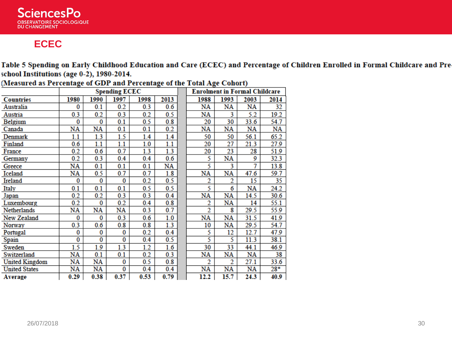

#### **ECEC**

Table 5 Spending on Early Childhood Education and Care (ECEC) and Percentage of Children Enrolled in Formal Childcare and Pre school Institutions (age 0-2), 1980-2014.

|                       |      |      | <b>Spending ECEC</b> |      | <b>Enrolment in Formal Childcare</b> |                |           |                        |       |  |
|-----------------------|------|------|----------------------|------|--------------------------------------|----------------|-----------|------------------------|-------|--|
| <b>Countries</b>      | 1980 | 1990 | 1997                 | 1998 | 2013                                 | 1988           | 1993      | 2003                   | 2014  |  |
| Australia             | 0    | 0.1  | 0.2                  | 0.3  | 0.6                                  | NA             | NA        | NA                     | 32    |  |
| Austria               | 0.3  | 0.2  | 0.3                  | 0.2  | 0.5                                  | NA             | 3         | 5.2                    | 19.2  |  |
| Belgium               | 0    | 0    | 0.1                  | 0.5  | 0.8                                  | 20             | 30        | 33.6                   | 54.7  |  |
| Canada                | NA   | NA   | 0.1                  | 0.1  | 0.2                                  | NA             | NA        | NA                     | NA    |  |
| Denmark               | 1.1  | 1.3  | 1.5                  | 1.4  | 1.4                                  | 50             | 50        | 56.1                   | 65.2  |  |
| Finland               | 0.6  | 1.1  | 1.1                  | 1.0  | 1.1                                  | 20             | 27        | 21.3                   | 27.9  |  |
| France                | 0.2  | 0.6  | 0.7                  | 1.3  | 1.3                                  | 20             | 23        | 28                     | 51.9  |  |
| Germany               | 0.2  | 0.3  | 0.4                  | 0.4  | 0.6                                  | 5              | NA        | 9                      | 32.3  |  |
| Greece                | NA   | 0.1  | 0.1                  | 0.1  | NA                                   | 5              | 3         | 7                      | 13.8  |  |
| Iceland               | NA   | 0.5  | 0.7                  | 0.7  | 1.8                                  | NA             | NA        | 47.6                   | 59.7  |  |
| Ireland               | 0    | 0    | 0                    | 0.2  | 0.5                                  | 2              | 2         | 15                     | 35    |  |
| Italy                 | 0.1  | 0.1  | 0.1                  | 0.5  | 0.5                                  | 5              | 6         | NA                     | 24.2  |  |
| Japan                 | 0.2  | 0.2  | 0.3                  | 0.3  | 0.4                                  | NA             | NA        | 14.5                   | 30.6  |  |
| Luxembourg            | 0.2  | 0    | 0.2                  | 0.4  | 0.8                                  | 2              | NA        | 14                     | 55.1  |  |
| Netherlands           | NA   | NA   | NA                   | 0.3  | 0.7                                  | $\overline{2}$ | 8         | 29.5                   | 55.9  |  |
| New Zealand           | 0    | 0    | 0.3                  | 0.6  | 1.0                                  | NA             | NA        | 31.5                   | 41.9  |  |
| Norway                | 0.3  | 0.6  | 0.8                  | 0.8  | 1.3                                  | 10             | NA        | 29.5                   | 54.7  |  |
| Portugal              | 0    | 0    | 0                    | 0.2  | 0.4                                  | 5              | 12        | 12.7                   | 47.9  |  |
| Spain                 | 0    | 0    | 0                    | 0.4  | 0.5                                  | 5              | 5         | 11.3                   | 38.1  |  |
| Sweden                | 1.5  | 1.9  | 1.3                  | 1.2  | 1.6                                  | 30             | 33        | 44.1                   | 46.9  |  |
| Switzerland           | NA   | 0.1  | 0.1                  | 0.2  | 0.3                                  | NA             | NA        | NA                     | 38    |  |
| <b>United Kingdom</b> | NA   | NA   | 0                    | 0.5  | 0.8                                  | 2              | 2         | 27.1                   | 33.6  |  |
| <b>United States</b>  | NA   | NA   | 0                    | 0.4  | 0.4                                  | NA             | <b>NA</b> | $\overline{\text{NA}}$ | $28*$ |  |
| <b>Average</b>        | 0.29 | 0.38 | 0.37                 | 0.53 | 0.79                                 | 12.2           | 15.7      | 24.3                   | 40.9  |  |

(Measured as Percentage of GDP and Percentage of the Total Age Cohort)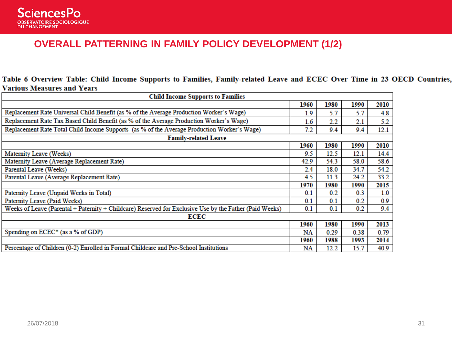

#### **OVERALL PATTERNING IN FAMILY POLICY DEVELOPMENT (1/2)**

Table 6 Overview Table: Child Income Supports to Families, Family-related Leave and ECEC Over Time in 23 OECD Countries, **Various Measures and Years** 

| <b>Child Income Supports to Families</b>                                                                |      |      |      |      |  |  |  |  |  |  |
|---------------------------------------------------------------------------------------------------------|------|------|------|------|--|--|--|--|--|--|
|                                                                                                         | 1960 | 1980 | 1990 | 2010 |  |  |  |  |  |  |
| Replacement Rate Universal Child Benefit (as % of the Average Production Worker's Wage)                 | 1.9  | 5.7  | 5.7  | 4.8  |  |  |  |  |  |  |
| Replacement Rate Tax Based Child Benefit (as % of the Average Production Worker's Wage)                 | 1.6  | 2.2  | 2.1  | 5.2  |  |  |  |  |  |  |
| Replacement Rate Total Child Income Supports (as % of the Average Production Worker's Wage)             | 7.2  | 9.4  | 9.4  | 12.1 |  |  |  |  |  |  |
| <b>Family-related Leave</b>                                                                             |      |      |      |      |  |  |  |  |  |  |
|                                                                                                         | 1960 | 1980 | 1990 | 2010 |  |  |  |  |  |  |
| Maternity Leave (Weeks)                                                                                 | 9.5  | 12.5 | 12.1 | 14.4 |  |  |  |  |  |  |
| Maternity Leave (Average Replacement Rate)                                                              | 42.9 | 54.3 | 58.0 | 58.6 |  |  |  |  |  |  |
| Parental Leave (Weeks)                                                                                  | 2.4  | 18.0 | 34.7 | 54.2 |  |  |  |  |  |  |
| Parental Leave (Average Replacement Rate)                                                               | 4.5  | 11.3 | 24.2 | 33.2 |  |  |  |  |  |  |
|                                                                                                         | 1970 | 1980 | 1990 | 2015 |  |  |  |  |  |  |
| Paternity Leave (Unpaid Weeks in Total)                                                                 | 0.1  | 0.2  | 0.3  | 1.0  |  |  |  |  |  |  |
| Paternity Leave (Paid Weeks)                                                                            | 0.1  | 0.1  | 0.2  | 0.9  |  |  |  |  |  |  |
| Weeks of Leave (Parental + Paternity + Childcare) Reserved for Exclusive Use by the Father (Paid Weeks) | 0.1  | 0.1  | 0.2  | 9.4  |  |  |  |  |  |  |
| ECEC                                                                                                    |      |      |      |      |  |  |  |  |  |  |
|                                                                                                         | 1960 | 1980 | 1990 | 2013 |  |  |  |  |  |  |
| Spending on ECEC* (as a % of GDP)                                                                       | NA   | 0.29 | 0.38 | 0.79 |  |  |  |  |  |  |
|                                                                                                         | 1960 | 1988 | 1993 | 2014 |  |  |  |  |  |  |
| Percentage of Children (0-2) Enrolled in Formal Childcare and Pre-School Institutions                   | NA   | 12.2 | 15.7 | 40.9 |  |  |  |  |  |  |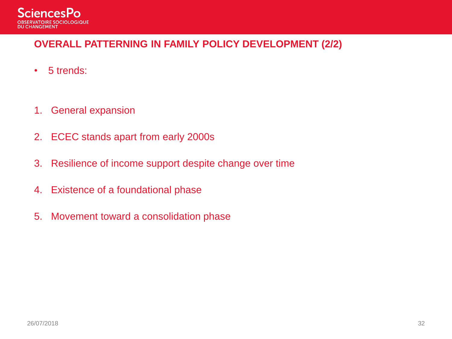

#### **OVERALL PATTERNING IN FAMILY POLICY DEVELOPMENT (2/2)**

- 5 trends:
- 1. General expansion
- 2. ECEC stands apart from early 2000s
- 3. Resilience of income support despite change over time
- 4. Existence of a foundational phase
- 5. Movement toward a consolidation phase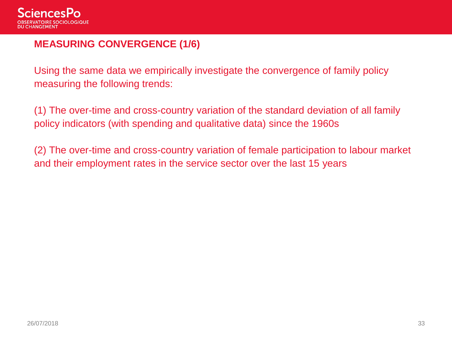

#### **MEASURING CONVERGENCE (1/6)**

Using the same data we empirically investigate the convergence of family policy measuring the following trends:

(1) The over-time and cross-country variation of the standard deviation of all family policy indicators (with spending and qualitative data) since the 1960s

(2) The over-time and cross-country variation of female participation to labour market and their employment rates in the service sector over the last 15 years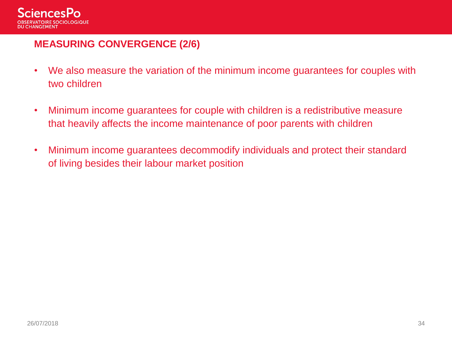

#### **MEASURING CONVERGENCE (2/6)**

- We also measure the variation of the minimum income guarantees for couples with two children
- Minimum income guarantees for couple with children is a redistributive measure that heavily affects the income maintenance of poor parents with children
- Minimum income guarantees decommodify individuals and protect their standard of living besides their labour market position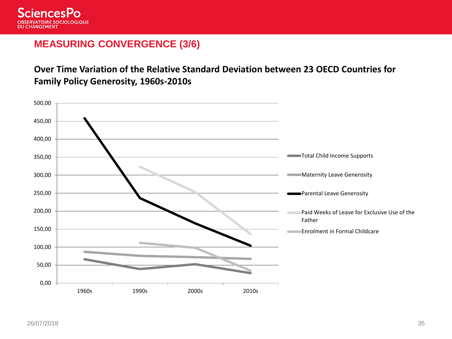

#### **MEASURING CONVERGENCE (3/6)**

**Over Time Variation of the Relative Standard Deviation between 23 OECD Countries for Family Policy Generosity, 1960s-2010s**

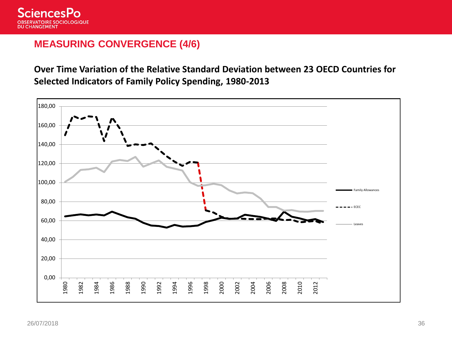

#### **MEASURING CONVERGENCE (4/6)**

**Over Time Variation of the Relative Standard Deviation between 23 OECD Countries for Selected Indicators of Family Policy Spending, 1980-2013**

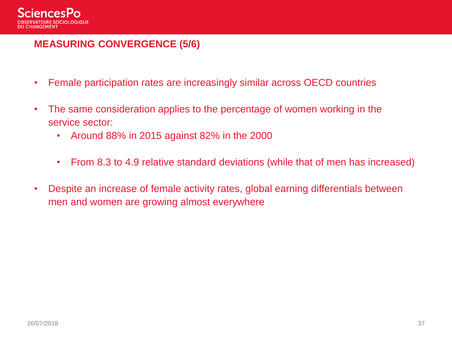

#### **MEASURING CONVERGENCE (5/6)**

- Female participation rates are increasingly similar across OECD countries
- The same consideration applies to the percentage of women working in the service sector:
	- Around 88% in 2015 against 82% in the 2000
	- From 8.3 to 4.9 relative standard deviations (while that of men has increased)
- Despite an increase of female activity rates, global earning differentials between men and women are growing almost everywhere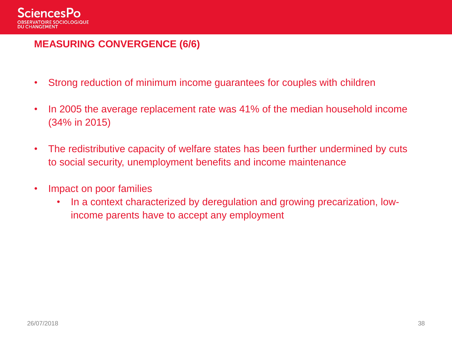

#### **MEASURING CONVERGENCE (6/6)**

- Strong reduction of minimum income guarantees for couples with children
- In 2005 the average replacement rate was 41% of the median household income (34% in 2015)
- The redistributive capacity of welfare states has been further undermined by cuts to social security, unemployment benefits and income maintenance
- Impact on poor families
	- In a context characterized by deregulation and growing precarization, lowincome parents have to accept any employment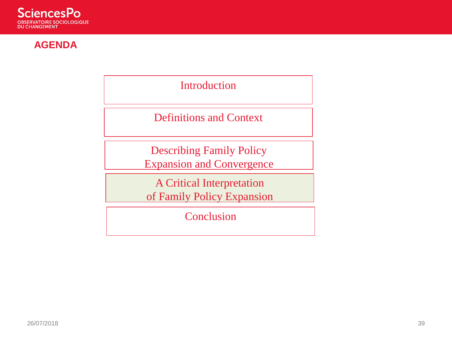

#### **AGENDA**

Introduction

Definitions and Context

Describing Family Policy Expansion and Convergence

A Critical Interpretation of Family Policy Expansion

**Conclusion**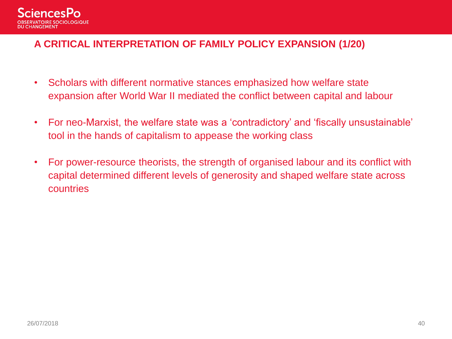

#### **A CRITICAL INTERPRETATION OF FAMILY POLICY EXPANSION (1/20)**

- Scholars with different normative stances emphasized how welfare state expansion after World War II mediated the conflict between capital and labour
- For neo-Marxist, the welfare state was a 'contradictory' and 'fiscally unsustainable' tool in the hands of capitalism to appease the working class
- For power-resource theorists, the strength of organised labour and its conflict with capital determined different levels of generosity and shaped welfare state across countries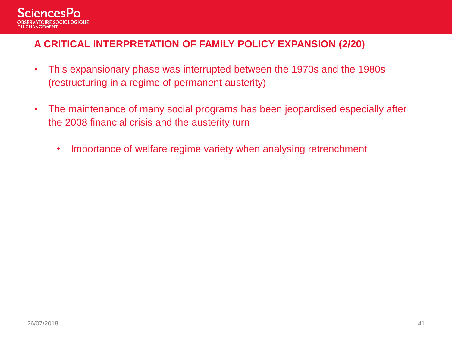

#### **A CRITICAL INTERPRETATION OF FAMILY POLICY EXPANSION (2/20)**

- This expansionary phase was interrupted between the 1970s and the 1980s (restructuring in a regime of permanent austerity)
- The maintenance of many social programs has been jeopardised especially after the 2008 financial crisis and the austerity turn
	- Importance of welfare regime variety when analysing retrenchment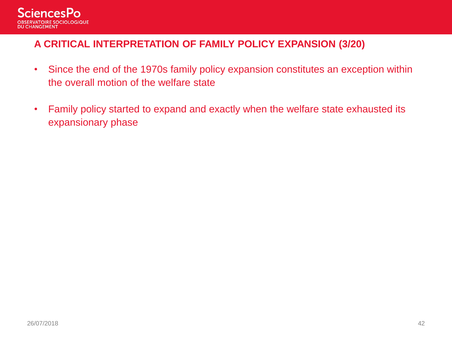

#### **A CRITICAL INTERPRETATION OF FAMILY POLICY EXPANSION (3/20)**

- Since the end of the 1970s family policy expansion constitutes an exception within the overall motion of the welfare state
- Family policy started to expand and exactly when the welfare state exhausted its expansionary phase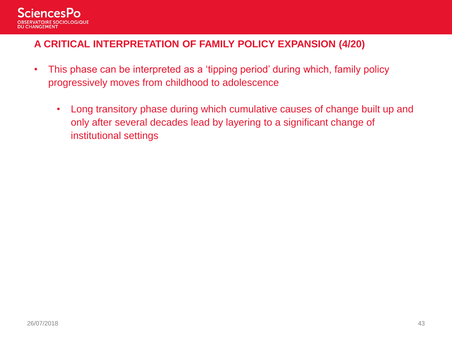

#### **A CRITICAL INTERPRETATION OF FAMILY POLICY EXPANSION (4/20)**

- This phase can be interpreted as a 'tipping period' during which, family policy progressively moves from childhood to adolescence
	- Long transitory phase during which cumulative causes of change built up and only after several decades lead by layering to a significant change of institutional settings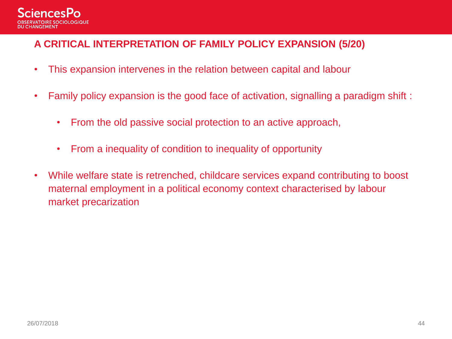

#### **A CRITICAL INTERPRETATION OF FAMILY POLICY EXPANSION (5/20)**

- This expansion intervenes in the relation between capital and labour
- Family policy expansion is the good face of activation, signalling a paradigm shift :
	- From the old passive social protection to an active approach,
	- From a inequality of condition to inequality of opportunity
- While welfare state is retrenched, childcare services expand contributing to boost maternal employment in a political economy context characterised by labour market precarization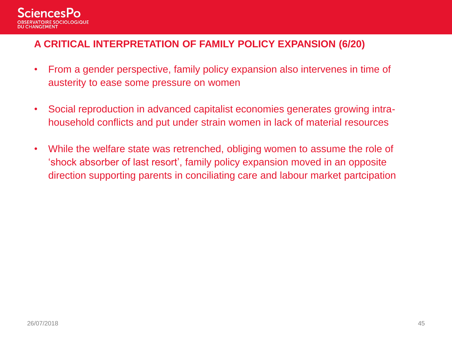

#### **A CRITICAL INTERPRETATION OF FAMILY POLICY EXPANSION (6/20)**

- From a gender perspective, family policy expansion also intervenes in time of austerity to ease some pressure on women
- Social reproduction in advanced capitalist economies generates growing intrahousehold conflicts and put under strain women in lack of material resources
- While the welfare state was retrenched, obliging women to assume the role of 'shock absorber of last resort', family policy expansion moved in an opposite direction supporting parents in conciliating care and labour market partcipation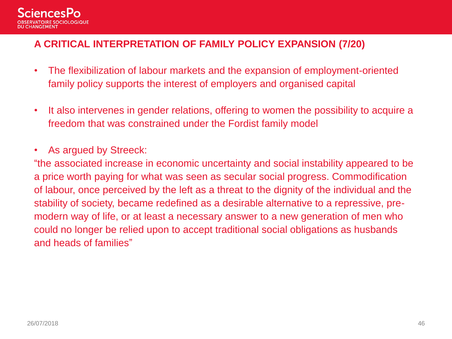

#### **A CRITICAL INTERPRETATION OF FAMILY POLICY EXPANSION (7/20)**

- The flexibilization of labour markets and the expansion of employment-oriented family policy supports the interest of employers and organised capital
- It also intervenes in gender relations, offering to women the possibility to acquire a freedom that was constrained under the Fordist family model
- As argued by Streeck:

"the associated increase in economic uncertainty and social instability appeared to be a price worth paying for what was seen as secular social progress. Commodification of labour, once perceived by the left as a threat to the dignity of the individual and the stability of society, became redefined as a desirable alternative to a repressive, premodern way of life, or at least a necessary answer to a new generation of men who could no longer be relied upon to accept traditional social obligations as husbands and heads of families"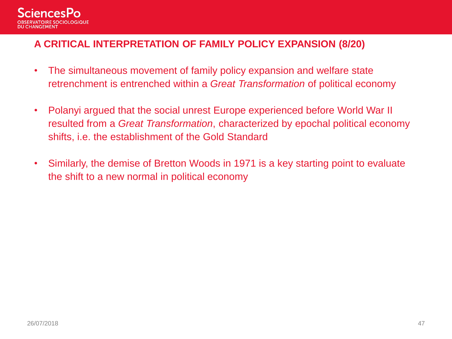

#### **A CRITICAL INTERPRETATION OF FAMILY POLICY EXPANSION (8/20)**

- The simultaneous movement of family policy expansion and welfare state retrenchment is entrenched within a *Great Transformation* of political economy
- Polanyi argued that the social unrest Europe experienced before World War II resulted from a *Great Transformation*, characterized by epochal political economy shifts, i.e. the establishment of the Gold Standard
- Similarly, the demise of Bretton Woods in 1971 is a key starting point to evaluate the shift to a new normal in political economy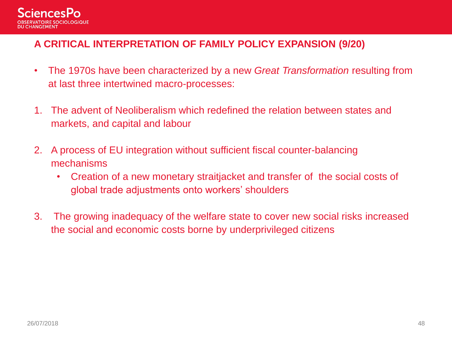

#### **A CRITICAL INTERPRETATION OF FAMILY POLICY EXPANSION (9/20)**

- The 1970s have been characterized by a new *Great Transformation* resulting from at last three intertwined macro-processes:
- 1. The advent of Neoliberalism which redefined the relation between states and markets, and capital and labour
- 2. A process of EU integration without sufficient fiscal counter-balancing mechanisms
	- Creation of a new monetary straitjacket and transfer of the social costs of global trade adjustments onto workers' shoulders
- 3. The growing inadequacy of the welfare state to cover new social risks increased the social and economic costs borne by underprivileged citizens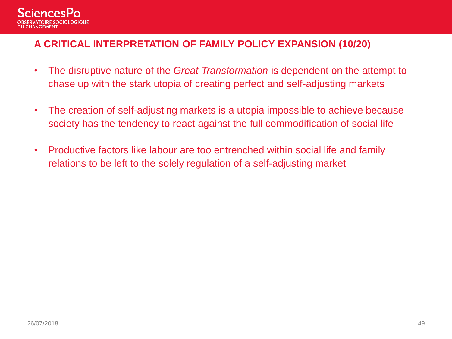

#### **A CRITICAL INTERPRETATION OF FAMILY POLICY EXPANSION (10/20)**

- The disruptive nature of the *Great Transformation* is dependent on the attempt to chase up with the stark utopia of creating perfect and self-adjusting markets
- The creation of self-adjusting markets is a utopia impossible to achieve because society has the tendency to react against the full commodification of social life
- Productive factors like labour are too entrenched within social life and family relations to be left to the solely regulation of a self-adjusting market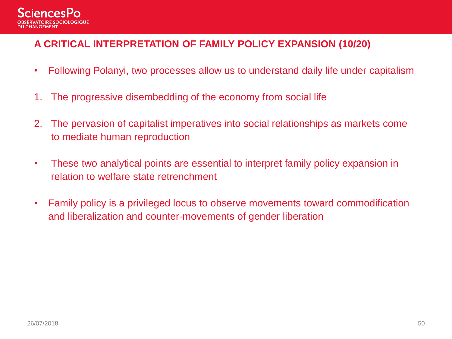

#### **A CRITICAL INTERPRETATION OF FAMILY POLICY EXPANSION (10/20)**

- Following Polanyi, two processes allow us to understand daily life under capitalism
- 1. The progressive disembedding of the economy from social life
- 2. The pervasion of capitalist imperatives into social relationships as markets come to mediate human reproduction
- These two analytical points are essential to interpret family policy expansion in relation to welfare state retrenchment
- Family policy is a privileged locus to observe movements toward commodification and liberalization and counter-movements of gender liberation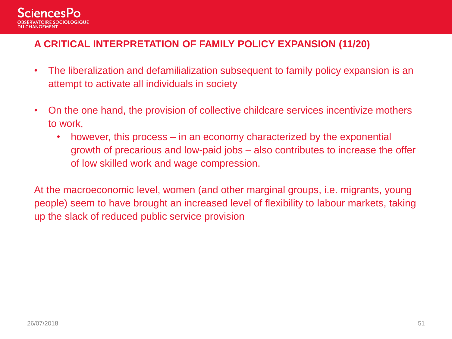

#### **A CRITICAL INTERPRETATION OF FAMILY POLICY EXPANSION (11/20)**

- The liberalization and defamilialization subsequent to family policy expansion is an attempt to activate all individuals in society
- On the one hand, the provision of collective childcare services incentivize mothers to work,
	- however, this process in an economy characterized by the exponential growth of precarious and low-paid jobs – also contributes to increase the offer of low skilled work and wage compression.

At the macroeconomic level, women (and other marginal groups, i.e. migrants, young people) seem to have brought an increased level of flexibility to labour markets, taking up the slack of reduced public service provision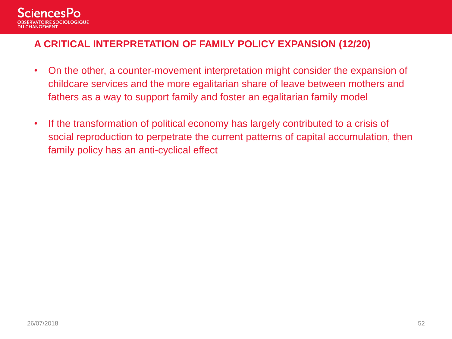

#### **A CRITICAL INTERPRETATION OF FAMILY POLICY EXPANSION (12/20)**

- On the other, a counter-movement interpretation might consider the expansion of childcare services and the more egalitarian share of leave between mothers and fathers as a way to support family and foster an egalitarian family model
- If the transformation of political economy has largely contributed to a crisis of social reproduction to perpetrate the current patterns of capital accumulation, then family policy has an anti-cyclical effect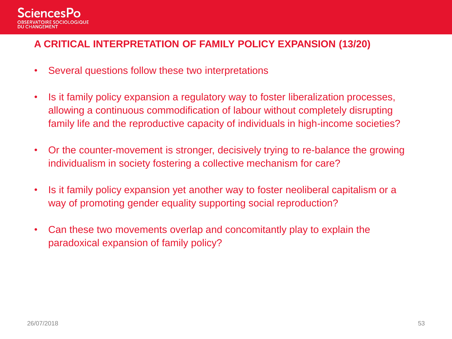

#### **A CRITICAL INTERPRETATION OF FAMILY POLICY EXPANSION (13/20)**

- Several questions follow these two interpretations
- Is it family policy expansion a regulatory way to foster liberalization processes, allowing a continuous commodification of labour without completely disrupting family life and the reproductive capacity of individuals in high-income societies?
- Or the counter-movement is stronger, decisively trying to re-balance the growing individualism in society fostering a collective mechanism for care?
- Is it family policy expansion yet another way to foster neoliberal capitalism or a way of promoting gender equality supporting social reproduction?
- Can these two movements overlap and concomitantly play to explain the paradoxical expansion of family policy?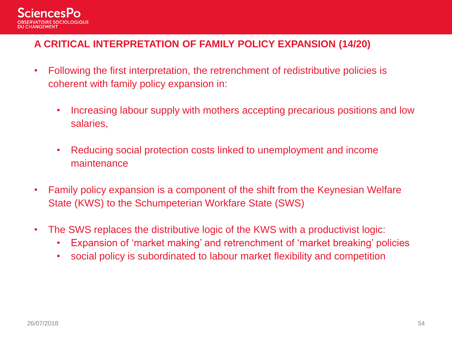

#### **A CRITICAL INTERPRETATION OF FAMILY POLICY EXPANSION (14/20)**

- Following the first interpretation, the retrenchment of redistributive policies is coherent with family policy expansion in:
	- Increasing labour supply with mothers accepting precarious positions and low salaries,
	- Reducing social protection costs linked to unemployment and income maintenance
- Family policy expansion is a component of the shift from the Keynesian Welfare State (KWS) to the Schumpeterian Workfare State (SWS)
- The SWS replaces the distributive logic of the KWS with a productivist logic:
	- Expansion of 'market making' and retrenchment of 'market breaking' policies
	- social policy is subordinated to labour market flexibility and competition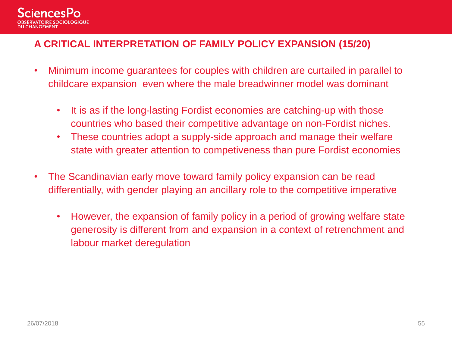

#### **A CRITICAL INTERPRETATION OF FAMILY POLICY EXPANSION (15/20)**

- Minimum income guarantees for couples with children are curtailed in parallel to childcare expansion even where the male breadwinner model was dominant
	- It is as if the long-lasting Fordist economies are catching-up with those countries who based their competitive advantage on non-Fordist niches.
	- These countries adopt a supply-side approach and manage their welfare state with greater attention to competiveness than pure Fordist economies
- The Scandinavian early move toward family policy expansion can be read differentially, with gender playing an ancillary role to the competitive imperative
	- However, the expansion of family policy in a period of growing welfare state generosity is different from and expansion in a context of retrenchment and labour market deregulation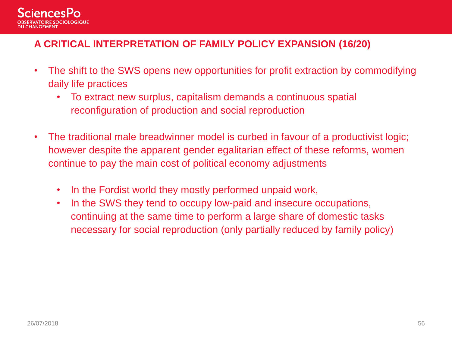

#### **A CRITICAL INTERPRETATION OF FAMILY POLICY EXPANSION (16/20)**

- The shift to the SWS opens new opportunities for profit extraction by commodifying daily life practices
	- To extract new surplus, capitalism demands a continuous spatial reconfiguration of production and social reproduction
- The traditional male breadwinner model is curbed in favour of a productivist logic; however despite the apparent gender egalitarian effect of these reforms, women continue to pay the main cost of political economy adjustments
	- In the Fordist world they mostly performed unpaid work,
	- In the SWS they tend to occupy low-paid and insecure occupations, continuing at the same time to perform a large share of domestic tasks necessary for social reproduction (only partially reduced by family policy)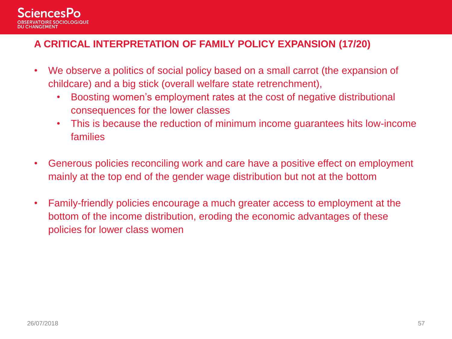

#### **A CRITICAL INTERPRETATION OF FAMILY POLICY EXPANSION (17/20)**

- We observe a politics of social policy based on a small carrot (the expansion of childcare) and a big stick (overall welfare state retrenchment),
	- Boosting women's employment rates at the cost of negative distributional consequences for the lower classes
	- This is because the reduction of minimum income guarantees hits low-income families
- Generous policies reconciling work and care have a positive effect on employment mainly at the top end of the gender wage distribution but not at the bottom
- Family-friendly policies encourage a much greater access to employment at the bottom of the income distribution, eroding the economic advantages of these policies for lower class women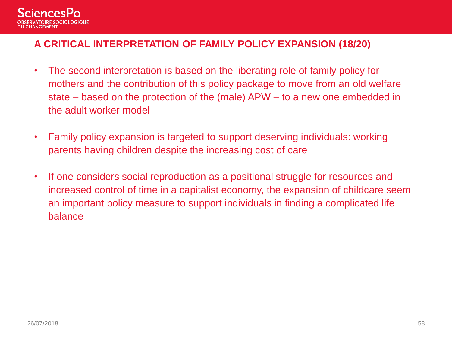

#### **A CRITICAL INTERPRETATION OF FAMILY POLICY EXPANSION (18/20)**

- The second interpretation is based on the liberating role of family policy for mothers and the contribution of this policy package to move from an old welfare state – based on the protection of the (male) APW – to a new one embedded in the adult worker model
- Family policy expansion is targeted to support deserving individuals: working parents having children despite the increasing cost of care
- If one considers social reproduction as a positional struggle for resources and increased control of time in a capitalist economy, the expansion of childcare seem an important policy measure to support individuals in finding a complicated life balance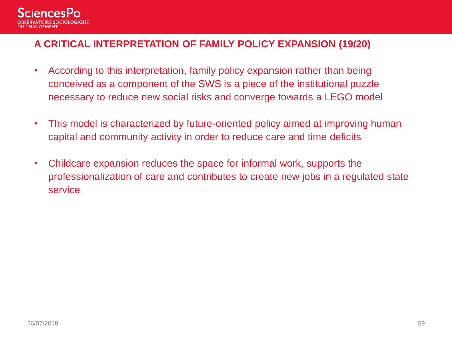

#### **A CRITICAL INTERPRETATION OF FAMILY POLICY EXPANSION (19/20)**

- According to this interpretation, family policy expansion rather than being conceived as a component of the SWS is a piece of the institutional puzzle necessary to reduce new social risks and converge towards a LEGO model
- This model is characterized by future-oriented policy aimed at improving human capital and community activity in order to reduce care and time deficits
- Childcare expansion reduces the space for informal work, supports the professionalization of care and contributes to create new jobs in a regulated state service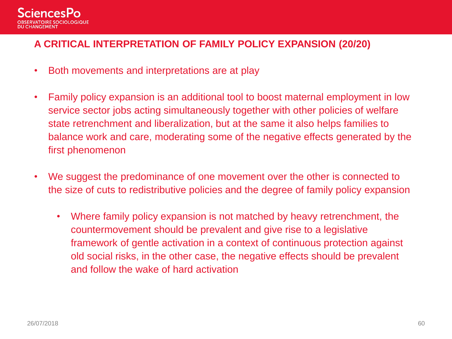

#### **A CRITICAL INTERPRETATION OF FAMILY POLICY EXPANSION (20/20)**

- Both movements and interpretations are at play
- Family policy expansion is an additional tool to boost maternal employment in low service sector jobs acting simultaneously together with other policies of welfare state retrenchment and liberalization, but at the same it also helps families to balance work and care, moderating some of the negative effects generated by the first phenomenon
- We suggest the predominance of one movement over the other is connected to the size of cuts to redistributive policies and the degree of family policy expansion
	- Where family policy expansion is not matched by heavy retrenchment, the countermovement should be prevalent and give rise to a legislative framework of gentle activation in a context of continuous protection against old social risks, in the other case, the negative effects should be prevalent and follow the wake of hard activation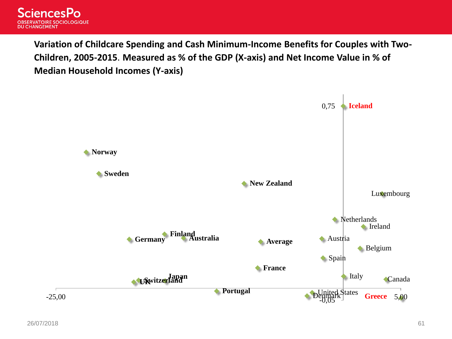

**Variation of Childcare Spending and Cash Minimum-Income Benefits for Couples with Two-Children, 2005-2015**. **Measured as % of the GDP (X-axis) and Net Income Value in % of Median Household Incomes (Y-axis)**

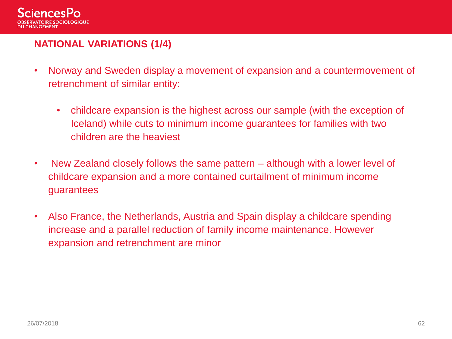

#### **NATIONAL VARIATIONS (1/4)**

- Norway and Sweden display a movement of expansion and a countermovement of retrenchment of similar entity:
	- childcare expansion is the highest across our sample (with the exception of Iceland) while cuts to minimum income guarantees for families with two children are the heaviest
- New Zealand closely follows the same pattern although with a lower level of childcare expansion and a more contained curtailment of minimum income guarantees
- Also France, the Netherlands, Austria and Spain display a childcare spending increase and a parallel reduction of family income maintenance. However expansion and retrenchment are minor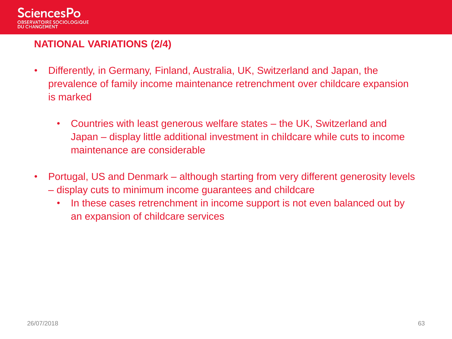

#### **NATIONAL VARIATIONS (2/4)**

- Differently, in Germany, Finland, Australia, UK, Switzerland and Japan, the prevalence of family income maintenance retrenchment over childcare expansion is marked
	- Countries with least generous welfare states the UK, Switzerland and Japan – display little additional investment in childcare while cuts to income maintenance are considerable
- Portugal, US and Denmark although starting from very different generosity levels – display cuts to minimum income guarantees and childcare
	- In these cases retrenchment in income support is not even balanced out by an expansion of childcare services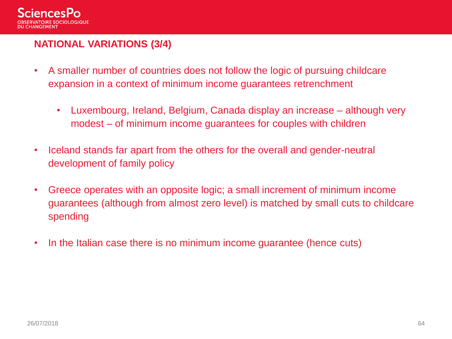

#### **NATIONAL VARIATIONS (3/4)**

- A smaller number of countries does not follow the logic of pursuing childcare expansion in a context of minimum income guarantees retrenchment
	- Luxembourg, Ireland, Belgium, Canada display an increase although very modest – of minimum income guarantees for couples with children
- Iceland stands far apart from the others for the overall and gender-neutral development of family policy
- Greece operates with an opposite logic; a small increment of minimum income guarantees (although from almost zero level) is matched by small cuts to childcare spending
- In the Italian case there is no minimum income guarantee (hence cuts)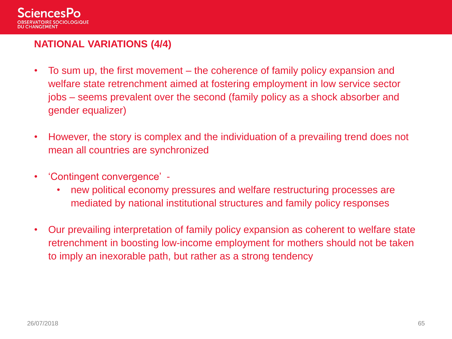

#### **NATIONAL VARIATIONS (4/4)**

- To sum up, the first movement the coherence of family policy expansion and welfare state retrenchment aimed at fostering employment in low service sector jobs – seems prevalent over the second (family policy as a shock absorber and gender equalizer)
- However, the story is complex and the individuation of a prevailing trend does not mean all countries are synchronized
- 'Contingent convergence'
	- new political economy pressures and welfare restructuring processes are mediated by national institutional structures and family policy responses
- Our prevailing interpretation of family policy expansion as coherent to welfare state retrenchment in boosting low-income employment for mothers should not be taken to imply an inexorable path, but rather as a strong tendency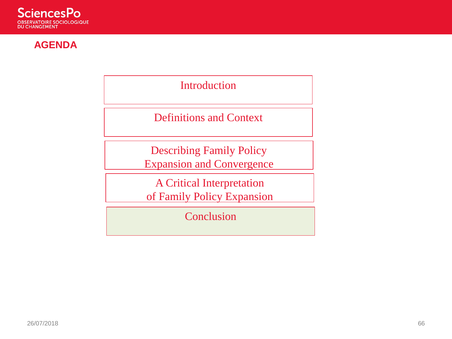

#### **AGENDA**

Introduction

Definitions and Context

Describing Family Policy Expansion and Convergence

A Critical Interpretation of Family Policy Expansion

Conclusion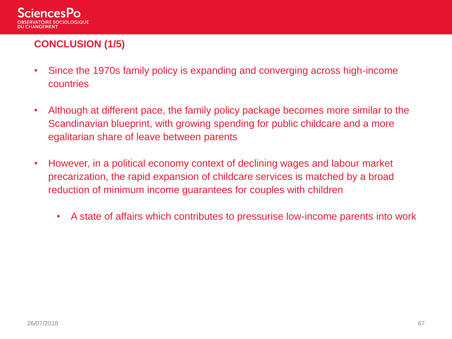

# **CONCLUSION (1/5)**

- Since the 1970s family policy is expanding and converging across high-income countries
- Although at different pace, the family policy package becomes more similar to the Scandinavian blueprint, with growing spending for public childcare and a more egalitarian share of leave between parents
- However, in a political economy context of declining wages and labour market precarization, the rapid expansion of childcare services is matched by a broad reduction of minimum income guarantees for couples with children
	- A state of affairs which contributes to pressurise low-income parents into work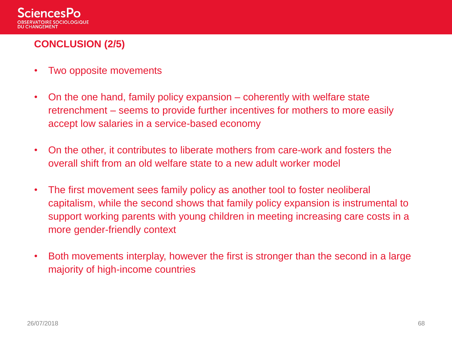

# **CONCLUSION (2/5)**

- Two opposite movements
- On the one hand, family policy expansion coherently with welfare state retrenchment – seems to provide further incentives for mothers to more easily accept low salaries in a service-based economy
- On the other, it contributes to liberate mothers from care-work and fosters the overall shift from an old welfare state to a new adult worker model
- The first movement sees family policy as another tool to foster neoliberal capitalism, while the second shows that family policy expansion is instrumental to support working parents with young children in meeting increasing care costs in a more gender-friendly context
- Both movements interplay, however the first is stronger than the second in a large majority of high-income countries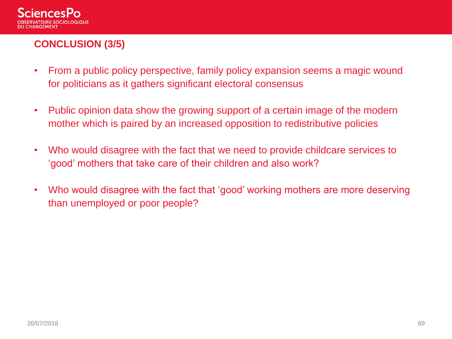

# **CONCLUSION (3/5)**

- From a public policy perspective, family policy expansion seems a magic wound for politicians as it gathers significant electoral consensus
- Public opinion data show the growing support of a certain image of the modern mother which is paired by an increased opposition to redistributive policies
- Who would disagree with the fact that we need to provide childcare services to 'good' mothers that take care of their children and also work?
- Who would disagree with the fact that 'good' working mothers are more deserving than unemployed or poor people?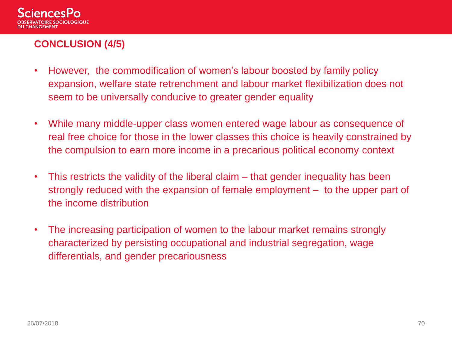

# **CONCLUSION (4/5)**

- However, the commodification of women's labour boosted by family policy expansion, welfare state retrenchment and labour market flexibilization does not seem to be universally conducive to greater gender equality
- While many middle-upper class women entered wage labour as consequence of real free choice for those in the lower classes this choice is heavily constrained by the compulsion to earn more income in a precarious political economy context
- This restricts the validity of the liberal claim that gender inequality has been strongly reduced with the expansion of female employment – to the upper part of the income distribution
- The increasing participation of women to the labour market remains strongly characterized by persisting occupational and industrial segregation, wage differentials, and gender precariousness